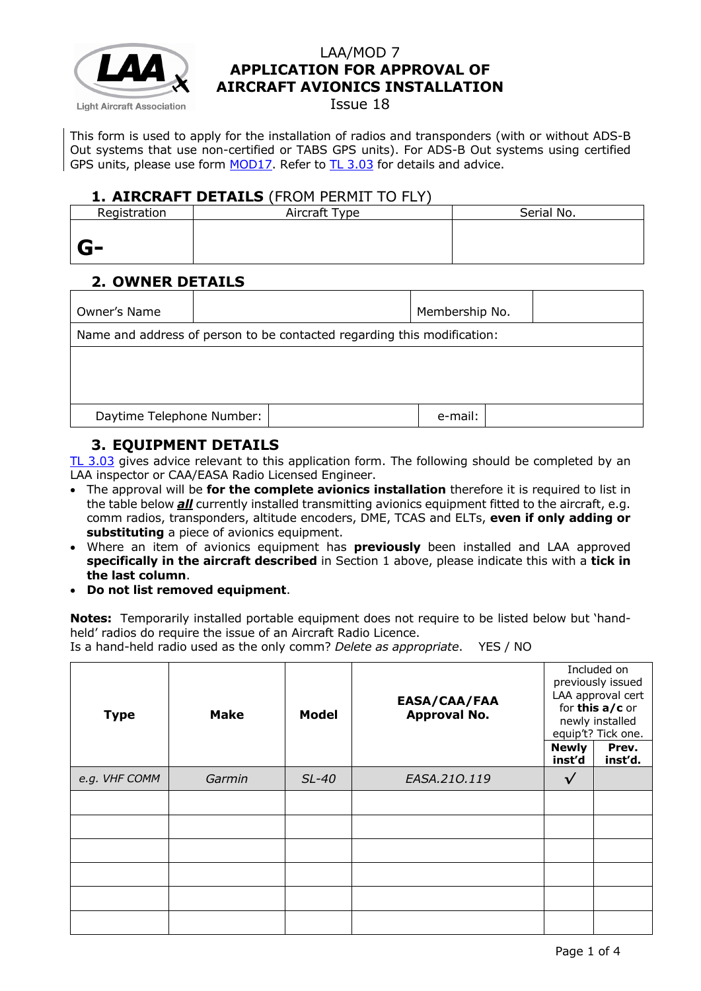

Issue 18

This form is used to apply for the installation of radios and transponders (with or without ADS-B Out systems that use non-certified or TABS GPS units). For ADS-B Out systems using certified GPS units, please use form [MOD17.](http://www.lightaircraftassociation.co.uk/engineering/StandardForms/LAA-MOD%2017%20-%20Certified%20ADS-B%20Out.pdf) Refer to [TL 3.03](http://www.lightaircraftassociation.co.uk/engineering/TechnicalLeaflets/Mods%20and%20Repairs/TL%203.03%20Avionics%20Installations.pdf) for details and advice.

#### **1. AIRCRAFT DETAILS** (FROM PERMIT TO FLY)

| Registration | Aircraft Type | Serial No. |
|--------------|---------------|------------|
|              |               |            |
| $G-$         |               |            |

# **2. OWNER DETAILS**

| Owner's Name              |                                                                         |  | Membership No. |  |  |  |
|---------------------------|-------------------------------------------------------------------------|--|----------------|--|--|--|
|                           | Name and address of person to be contacted regarding this modification: |  |                |  |  |  |
|                           |                                                                         |  |                |  |  |  |
|                           |                                                                         |  |                |  |  |  |
|                           |                                                                         |  |                |  |  |  |
| Daytime Telephone Number: |                                                                         |  | e-mail:        |  |  |  |
|                           |                                                                         |  |                |  |  |  |

# **3. EQUIPMENT DETAILS**

[TL 3.03](http://mar2013.lightaircraftassociation.co.uk/engineering/TechnicalLeaflets/Mods%20and%20Repairs/TL%203.03%20Avionics%20Installations.pdf) gives advice relevant to this application form. The following should be completed by an LAA inspector or CAA/EASA Radio Licensed Engineer.

- The approval will be **for the complete avionics installation** therefore it is required to list in the table below *all* currently installed transmitting avionics equipment fitted to the aircraft, e.g. comm radios, transponders, altitude encoders, DME, TCAS and ELTs, **even if only adding or substituting** a piece of avionics equipment.
- Where an item of avionics equipment has **previously** been installed and LAA approved **specifically in the aircraft described** in Section 1 above, please indicate this with a **tick in the last column**.
- **Do not list removed equipment**.

**Notes:** Temporarily installed portable equipment does not require to be listed below but 'handheld' radios do require the issue of an Aircraft Radio Licence.

Is a hand-held radio used as the only comm? *Delete as appropriate*. YES / NO

| <b>Type</b>   | <b>Make</b> | <b>Model</b> | EASA/CAA/FAA<br><b>Approval No.</b> |                        | Included on<br>previously issued<br>LAA approval cert<br>for this a/c or<br>newly installed<br>equip't? Tick one. |
|---------------|-------------|--------------|-------------------------------------|------------------------|-------------------------------------------------------------------------------------------------------------------|
|               |             |              |                                     | <b>Newly</b><br>inst'd | Prev.<br>inst'd.                                                                                                  |
| e.g. VHF COMM | Garmin      | $SL-40$      | EASA.210.119                        | $\checkmark$           |                                                                                                                   |
|               |             |              |                                     |                        |                                                                                                                   |
|               |             |              |                                     |                        |                                                                                                                   |
|               |             |              |                                     |                        |                                                                                                                   |
|               |             |              |                                     |                        |                                                                                                                   |
|               |             |              |                                     |                        |                                                                                                                   |
|               |             |              |                                     |                        |                                                                                                                   |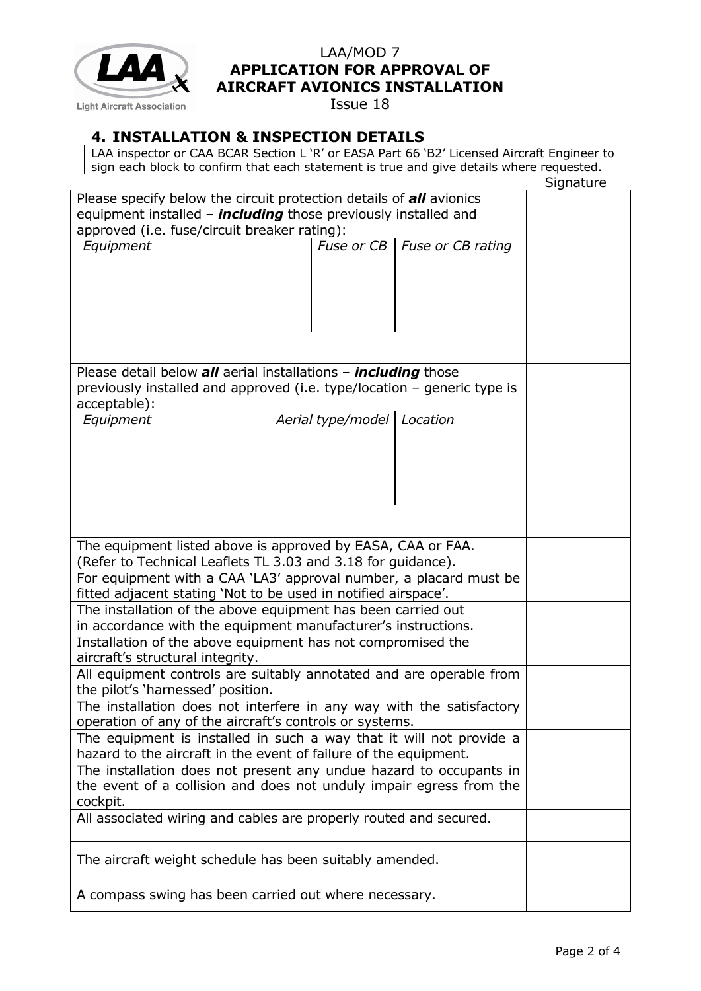

Issue 18

## **4. INSTALLATION & INSPECTION DETAILS**

LAA inspector or CAA BCAR Section L 'R' or EASA Part 66 'B2' Licensed Aircraft Engineer to sign each block to confirm that each statement is true and give details where requested.

|                                                                         | Signature |  |  |  |  |
|-------------------------------------------------------------------------|-----------|--|--|--|--|
| Please specify below the circuit protection details of all avionics     |           |  |  |  |  |
| equipment installed - <i>including</i> those previously installed and   |           |  |  |  |  |
| approved (i.e. fuse/circuit breaker rating):                            |           |  |  |  |  |
| Fuse or CB   Fuse or CB rating<br>Equipment                             |           |  |  |  |  |
|                                                                         |           |  |  |  |  |
|                                                                         |           |  |  |  |  |
|                                                                         |           |  |  |  |  |
|                                                                         |           |  |  |  |  |
|                                                                         |           |  |  |  |  |
|                                                                         |           |  |  |  |  |
|                                                                         |           |  |  |  |  |
|                                                                         |           |  |  |  |  |
| Please detail below all aerial installations - <i>including</i> those   |           |  |  |  |  |
| previously installed and approved (i.e. type/location - generic type is |           |  |  |  |  |
| acceptable):                                                            |           |  |  |  |  |
| Aerial type/model   Location<br>Equipment                               |           |  |  |  |  |
|                                                                         |           |  |  |  |  |
|                                                                         |           |  |  |  |  |
|                                                                         |           |  |  |  |  |
|                                                                         |           |  |  |  |  |
|                                                                         |           |  |  |  |  |
|                                                                         |           |  |  |  |  |
|                                                                         |           |  |  |  |  |
|                                                                         |           |  |  |  |  |
| The equipment listed above is approved by EASA, CAA or FAA.             |           |  |  |  |  |
| (Refer to Technical Leaflets TL 3.03 and 3.18 for guidance).            |           |  |  |  |  |
| For equipment with a CAA 'LA3' approval number, a placard must be       |           |  |  |  |  |
| fitted adjacent stating 'Not to be used in notified airspace'.          |           |  |  |  |  |
| The installation of the above equipment has been carried out            |           |  |  |  |  |
| in accordance with the equipment manufacturer's instructions.           |           |  |  |  |  |
|                                                                         |           |  |  |  |  |
| Installation of the above equipment has not compromised the             |           |  |  |  |  |
| aircraft's structural integrity.                                        |           |  |  |  |  |
| All equipment controls are suitably annotated and are operable from     |           |  |  |  |  |
| the pilot's 'harnessed' position.                                       |           |  |  |  |  |
| The installation does not interfere in any way with the satisfactory    |           |  |  |  |  |
| operation of any of the aircraft's controls or systems.                 |           |  |  |  |  |
| The equipment is installed in such a way that it will not provide a     |           |  |  |  |  |
| hazard to the aircraft in the event of failure of the equipment.        |           |  |  |  |  |
| The installation does not present any undue hazard to occupants in      |           |  |  |  |  |
| the event of a collision and does not unduly impair egress from the     |           |  |  |  |  |
|                                                                         |           |  |  |  |  |
| cockpit.                                                                |           |  |  |  |  |
| All associated wiring and cables are properly routed and secured.       |           |  |  |  |  |
|                                                                         |           |  |  |  |  |
| The aircraft weight schedule has been suitably amended.                 |           |  |  |  |  |
|                                                                         |           |  |  |  |  |
|                                                                         |           |  |  |  |  |
| A compass swing has been carried out where necessary.                   |           |  |  |  |  |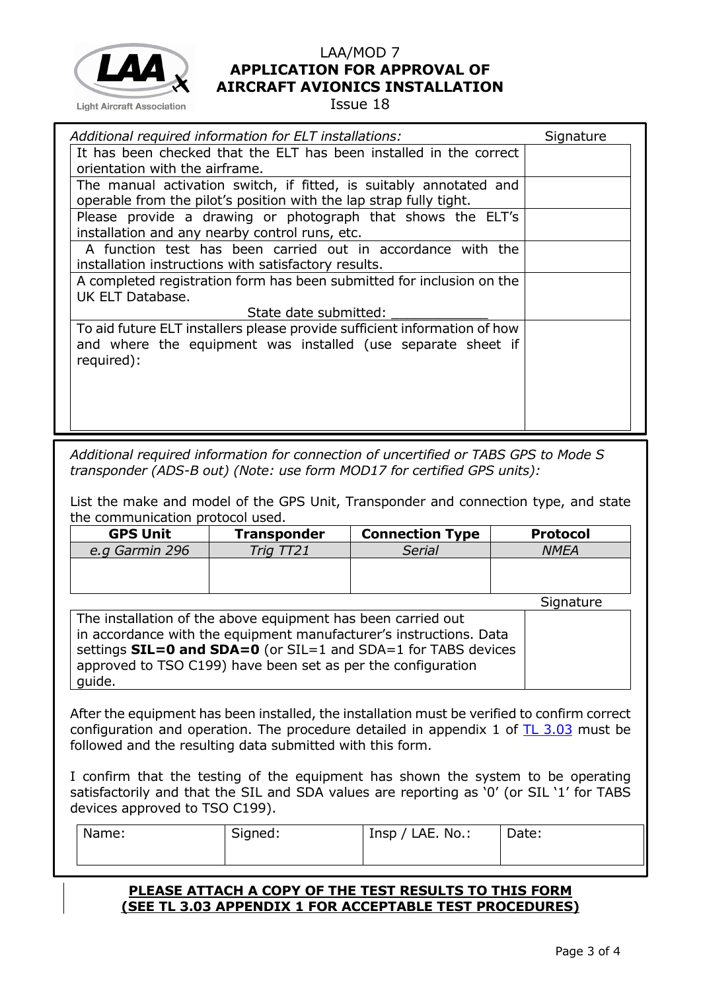

Issue 18

| Additional required information for ELT installations:                                                                                   | Signature |
|------------------------------------------------------------------------------------------------------------------------------------------|-----------|
| It has been checked that the ELT has been installed in the correct                                                                       |           |
| orientation with the airframe.                                                                                                           |           |
| The manual activation switch, if fitted, is suitably annotated and<br>operable from the pilot's position with the lap strap fully tight. |           |
| Please provide a drawing or photograph that shows the ELT's                                                                              |           |
| installation and any nearby control runs, etc.                                                                                           |           |
| A function test has been carried out in accordance with the                                                                              |           |
| installation instructions with satisfactory results.                                                                                     |           |
| A completed registration form has been submitted for inclusion on the                                                                    |           |
| UK ELT Database.                                                                                                                         |           |
| State date submitted:                                                                                                                    |           |
| To aid future ELT installers please provide sufficient information of how                                                                |           |
| and where the equipment was installed (use separate sheet if                                                                             |           |
| required):                                                                                                                               |           |
|                                                                                                                                          |           |
|                                                                                                                                          |           |
|                                                                                                                                          |           |
|                                                                                                                                          |           |

*Additional required information for connection of uncertified or TABS GPS to Mode S transponder (ADS-B out) (Note: use form MOD17 for certified GPS units):*

List the make and model of the GPS Unit, Transponder and connection type, and state the communication protocol used.

| <b>GPS Unit</b> | <b>Transponder</b> | <b>Connection Type</b> | <b>Protocol</b> |
|-----------------|--------------------|------------------------|-----------------|
| e.g Garmin 296  | Trig TT21          | Serial                 | <b>NMEA</b>     |
|                 |                    |                        |                 |
|                 |                    |                        |                 |
|                 |                    |                        | Cian            |

Signature

| The installation of the above equipment has been carried out                |  |
|-----------------------------------------------------------------------------|--|
| in accordance with the equipment manufacturer's instructions. Data          |  |
| settings $SL = 0$ and $SDA = 0$ (or $SL = 1$ and $SDA = 1$ for TABS devices |  |
| approved to TSO C199) have been set as per the configuration                |  |
| guide.                                                                      |  |

After the equipment has been installed, the installation must be verified to confirm correct configuration and operation. The procedure detailed in appendix 1 of [TL 3.03](http://mar2013.lightaircraftassociation.co.uk/engineering/TechnicalLeaflets/Mods%20and%20Repairs/TL%203.03%20Avionics%20Installations.pdf) must be followed and the resulting data submitted with this form.

I confirm that the testing of the equipment has shown the system to be operating satisfactorily and that the SIL and SDA values are reporting as '0' (or SIL '1' for TABS devices approved to TSO C199).

| Name: | Signed: | $Insp / LAE. No.$ : | Date: |
|-------|---------|---------------------|-------|
|       |         |                     |       |

#### **PLEASE ATTACH A COPY OF THE TEST RESULTS TO THIS FORM (SEE TL 3.03 APPENDIX 1 FOR ACCEPTABLE TEST PROCEDURES)**